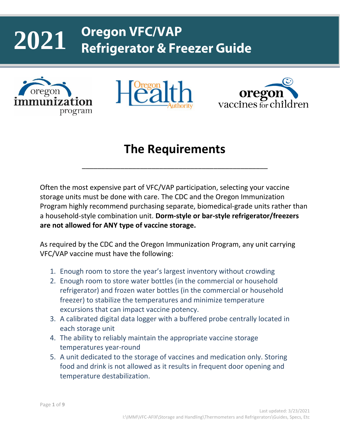#### **Oregon VFC/VAP 2021Refrigerator & Freezer Guide**







# **The Requirements**

\_\_\_\_\_\_\_\_\_\_\_\_\_\_\_\_\_\_\_\_\_\_\_\_\_\_\_\_\_\_\_\_\_\_\_\_\_\_\_\_\_\_\_\_\_\_\_\_

Often the most expensive part of VFC/VAP participation, selecting your vaccine storage units must be done with care. The CDC and the Oregon Immunization Program highly recommend purchasing separate, biomedical-grade units rather than a household-style combination unit. **Dorm-style or bar-style refrigerator/freezers are not allowed for ANY type of vaccine storage.** 

As required by the CDC and the Oregon Immunization Program, any unit carrying VFC/VAP vaccine must have the following:

- 1. Enough room to store the year's largest inventory without crowding
- 2. Enough room to store water bottles (in the commercial or household refrigerator) and frozen water bottles (in the commercial or household freezer) to stabilize the temperatures and minimize temperature excursions that can impact vaccine potency.
- 3. A calibrated digital data logger with a buffered probe centrally located in each storage unit
- 4. The ability to reliably maintain the appropriate vaccine storage temperatures year-round
- 5. A unit dedicated to the storage of vaccines and medication only. Storing food and drink is not allowed as it results in frequent door opening and temperature destabilization.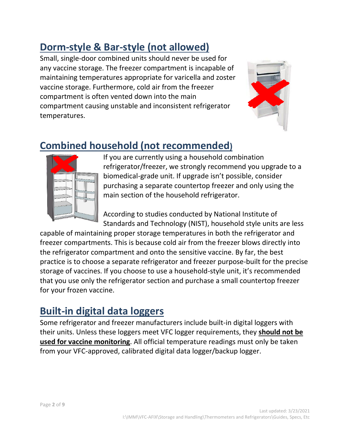# **Dorm-style & Bar-style (not allowed)**

Small, single-door combined units should never be used for any vaccine storage. The freezer compartment is incapable of maintaining temperatures appropriate for varicella and zoster vaccine storage. Furthermore, cold air from the freezer compartment is often vented down into the main compartment causing unstable and inconsistent refrigerator temperatures.



# **Combined household (not recommended)**



If you are currently using a household combination refrigerator/freezer, we strongly recommend you upgrade to a biomedical-grade unit. If upgrade isn't possible, consider purchasing a separate countertop freezer and only using the main section of the household refrigerator.

According to studies conducted by National Institute of Standards and Technology (NIST), household style units are less

capable of maintaining proper storage temperatures in both the refrigerator and freezer compartments. This is because cold air from the freezer blows directly into the refrigerator compartment and onto the sensitive vaccine. By far, the best practice is to choose a separate refrigerator and freezer purpose-built for the precise storage of vaccines. If you choose to use a household-style unit, it's recommended that you use only the refrigerator section and purchase a small countertop freezer for your frozen vaccine.

#### **Built-in digital data loggers**

Some refrigerator and freezer manufacturers include built-in digital loggers with their units. Unless these loggers meet VFC logger requirements, they **should not be used for vaccine monitoring**. All official temperature readings must only be taken from your VFC-approved, calibrated digital data logger/backup logger.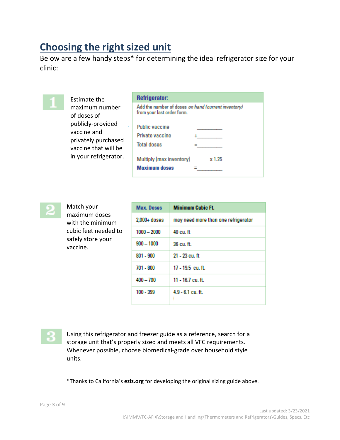#### **Choosing the right sized unit**

Below are a few handy steps\* for determining the ideal refrigerator size for your clinic:



Estimate the maximum number of doses of publicly-provided vaccine and privately purchased vaccine that will be in your refrigerator.

| <b>Refrigerator:</b>                                                              |        |
|-----------------------------------------------------------------------------------|--------|
| Add the number of doses on hand (current inventory)<br>from your last order form. |        |
| <b>Public vaccine</b>                                                             |        |
| Private vaccine                                                                   |        |
| <b>Total doses</b>                                                                |        |
| Multiply (max inventory)<br><b>Maximum doses</b>                                  | x 1.25 |



Match your maximum doses with the minimum cubic feet needed to safely store your vaccine.

| <b>Max. Doses</b> | <b>Minimum Cubic Ft.</b>            |
|-------------------|-------------------------------------|
| $2,000+$ doses    | may need more than one refrigerator |
| $1000 - 2000$     | 40 cu.ft                            |
| $900 - 1000$      | 36 cu.ft.                           |
| $801 - 900$       | 21 - 23 cu. ft                      |
| 701 - 800         | 17 - 19.5 cu. ft.                   |
| $400 - 700$       | 11 - 16.7 cu. ft.                   |
| 100 - 399         | $4.9 - 6.1$ cu. ft.                 |

Using this refrigerator and freezer guide as a reference, search for a storage unit that's properly sized and meets all VFC requirements. Whenever possible, choose biomedical-grade over household style units.

\*Thanks to California's **eziz.org** for developing the original sizing guide above.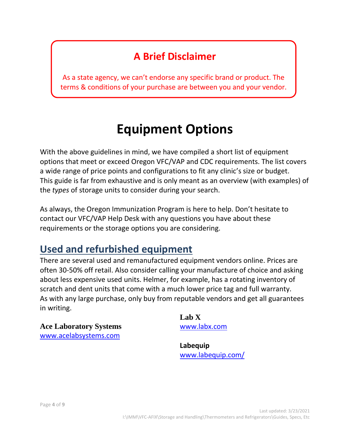### **A Brief Disclaimer**

As a state agency, we can't endorse any specific brand or product. The terms & conditions of your purchase are between you and your vendor.

# **Equipment Options**

With the above guidelines in mind, we have compiled a short list of equipment options that meet or exceed Oregon VFC/VAP and CDC requirements. The list covers a wide range of price points and configurations to fit any clinic's size or budget. This guide is far from exhaustive and is only meant as an overview (with examples) of the *types* of storage units to consider during your search.

As always, the Oregon Immunization Program is here to help. Don't hesitate to contact our VFC/VAP Help Desk with any questions you have about these requirements or the storage options you are considering.

#### **Used and refurbished equipment**

There are several used and remanufactured equipment vendors online. Prices are often 30-50% off retail. Also consider calling your manufacture of choice and asking about less expensive used units. Helmer, for example, has a rotating inventory of scratch and dent units that come with a much lower price tag and full warranty. As with any large purchase, only buy from reputable vendors and get all guarantees in writing.

**Ace Laboratory Systems** [www.acelabsystems.com](http://www.acelabsystems.com/)

**Lab X** [www.labx.com](http://www.labx.com/)

**Labequip** [www.labequip.com/](http://www.labequip.com/)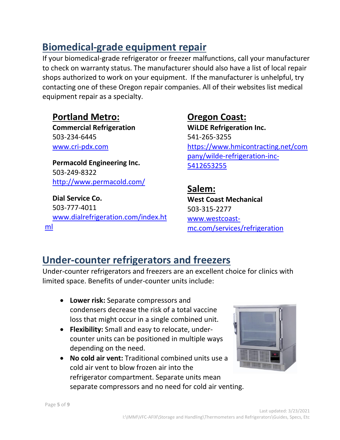### **Biomedical-grade equipment repair**

If your biomedical-grade refrigerator or freezer malfunctions, call your manufacturer to check on warranty status. The manufacturer should also have a list of local repair shops authorized to work on your equipment. If the manufacturer is unhelpful, try contacting one of these Oregon repair companies. All of their websites list medical equipment repair as a specialty.

#### **Portland Metro:**

**Commercial Refrigeration** 503-234-6445 [www.cri-pdx.com](http://www.cri-pdx.com/)

**Permacold Engineering Inc.** 503-249-8322 <http://www.permacold.com/>

**Dial Service Co.** 503-777-4011 [www.dialrefrigeration.com/index.ht](http://www.dialrefrigeration.com/index.html) [ml](http://www.dialrefrigeration.com/index.html)

#### **Oregon Coast: WiLDE Refrigeration Inc.** 541-265-3255 [https://www.hmicontracting.net/com](https://www.hmicontracting.net/company/wilde-refrigeration-inc-5412653255) [pany/wilde-refrigeration-inc-](https://www.hmicontracting.net/company/wilde-refrigeration-inc-5412653255)[5412653255](https://www.hmicontracting.net/company/wilde-refrigeration-inc-5412653255)

**Salem: West Coast Mechanical** 503-315-2277 [www.westcoast](http://www.westcoast-mc.com/services/refrigeration)[mc.com/services/refrigeration](http://www.westcoast-mc.com/services/refrigeration)

#### **Under-counter refrigerators and freezers**

Under-counter refrigerators and freezers are an excellent choice for clinics with limited space. Benefits of under-counter units include:

- **Lower risk:** Separate compressors and condensers decrease the risk of a total vaccine loss that might occur in a single combined unit.
- **Flexibility:** Small and easy to relocate, undercounter units can be positioned in multiple ways depending on the need.
- **No cold air vent:** Traditional combined units use a cold air vent to blow frozen air into the refrigerator compartment. Separate units mean separate compressors and no need for cold air venting.

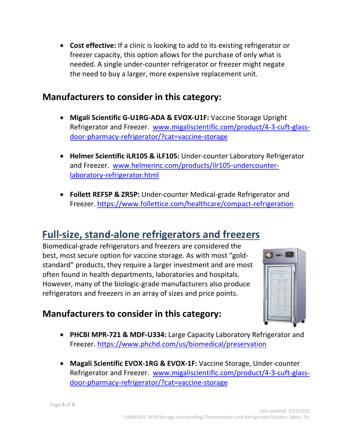• **Cost effective:** If a clinic is looking to add to its existing refrigerator or freezer capacity, this option allows for the purchase of only what is needed. A single under-counter refrigerator or freezer might negate the need to buy a larger, more expensive replacement unit.

#### **Manufacturers to consider in this category:**

- **Migali Scientific G-U1RG-ADA & EVOX-U1F:** Vaccine Storage Upright Refrigerator and Freezer. [www.migaliscientific.com/product/4-3-cuft-glass](http://www.migaliscientific.com/product/4-3-cuft-glass-door-pharmacy-refrigerator/?cat=vaccine-storage)[door-pharmacy-refrigerator/?cat=vaccine-storage](http://www.migaliscientific.com/product/4-3-cuft-glass-door-pharmacy-refrigerator/?cat=vaccine-storage)
- **Helmer Scientific iLR105 & iLF105:** Under-counter Laboratory Refrigerator and Freezer. [www.helmerinc.com/products/ilr105-undercounter](http://www.helmerinc.com/products/ilr105-undercounter-laboratory-refrigerator.html)[laboratory-refrigerator.html](http://www.helmerinc.com/products/ilr105-undercounter-laboratory-refrigerator.html)
- **Follett REF5P & ZR5P:** Under-counter Medical-grade Refrigerator and Freezer.<https://www.follettice.com/healthcare/compact-refrigeration>

#### **Full-size, stand-alone refrigerators and freezers**

Biomedical-grade refrigerators and freezers are considered the best, most secure option for vaccine storage. As with most "goldstandard" products, they require a larger investment and are most often found in health departments, laboratories and hospitals. However, many of the biologic-grade manufacturers also produce refrigerators and freezers in an array of sizes and price points.



#### **Manufacturers to consider in this category:**

- **PHCBI MPR-721 & MDF-U334:** Large Capacity Laboratory Refrigerator and Freezer. <https://www.phchd.com/us/biomedical/preservation>
- **Magali Scientific EVOX-1RG & EVOX-1F:** Vaccine Storage, Under-counter Refrigerator and Freezer. [www.migaliscientific.com/product/4-3-cuft-glass](http://www.migaliscientific.com/product/4-3-cuft-glass-door-pharmacy-refrigerator/?cat=vaccine-storage)[door-pharmacy-refrigerator/?cat=vaccine-storage](http://www.migaliscientific.com/product/4-3-cuft-glass-door-pharmacy-refrigerator/?cat=vaccine-storage)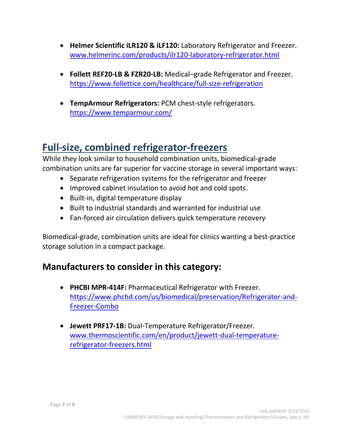- **Helmer Scientific iLR120 & iLF120:** Laboratory Refrigerator and Freezer. [www.helmerinc.com/products/ilr120-laboratory-refrigerator.html](http://www.helmerinc.com/products/ilr120-laboratory-refrigerator.html)
- **Follett REF20-LB & FZR20-LB:** Medical–grade Refrigerator and Freezer. <https://www.follettice.com/healthcare/full-size-refrigeration>
- **TempArmour Refrigerators:** PCM chest-style refrigerators. <https://www.temparmour.com/>

### **Full-size, combined refrigerator-freezers**

While they look similar to household combination units, biomedical-grade combination units are far superior for vaccine storage in several important ways:

- Separate refrigeration systems for the refrigerator and freezer
- Improved cabinet insulation to avoid hot and cold spots.
- Built-in, digital temperature display
- Built to industrial standards and warranted for industrial use
- Fan-forced air circulation delivers quick temperature recovery

Biomedical-grade, combination units are ideal for clinics wanting a best-practice storage solution in a compact package.

#### **Manufacturers to consider in this category:**

- **PHCBI MPR-414F:** Pharmaceutical Refrigerator with Freezer. [https://www.phchd.com/us/biomedical/preservation/Refrigerator-and-](https://www.phchd.com/us/biomedical/preservation/Refrigerator-and-Freezer-Combo)[Freezer-Combo](https://www.phchd.com/us/biomedical/preservation/Refrigerator-and-Freezer-Combo)
- **Jewett PRF17-1B:** Dual-Temperature Refrigerator/Freezer. [www.thermoscientific.com/en/product/jewett-dual-temperature](http://www.thermoscientific.com/en/product/jewett-dual-temperature-refrigerator-freezers.html)[refrigerator-freezers.html](http://www.thermoscientific.com/en/product/jewett-dual-temperature-refrigerator-freezers.html)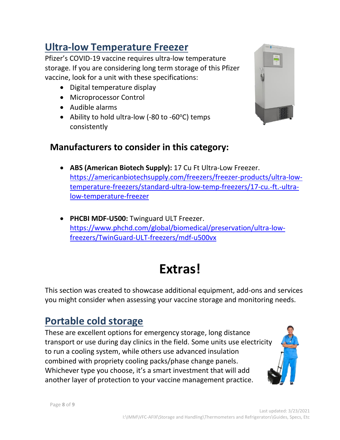#### **Ultra-low Temperature Freezer**

Pfizer's COVID-19 vaccine requires ultra-low temperature storage. If you are considering long term storage of this Pfizer vaccine, look for a unit with these specifications:

- Digital temperature display
- Microprocessor Control
- Audible alarms
- Ability to hold ultra-low (-80 to -60 $\degree$ C) temps consistently



- **ABS (American Biotech Supply):** 17 Cu Ft Ultra-Low Freezer. [https://americanbiotechsupply.com/freezers/freezer-products/ultra-low](https://americanbiotechsupply.com/freezers/freezer-products/ultra-low-temperature-freezers/standard-ultra-low-temp-freezers/17-cu.-ft.-ultra-low-temperature-freezer)[temperature-freezers/standard-ultra-low-temp-freezers/17-cu.-ft.-ultra](https://americanbiotechsupply.com/freezers/freezer-products/ultra-low-temperature-freezers/standard-ultra-low-temp-freezers/17-cu.-ft.-ultra-low-temperature-freezer)[low-temperature-freezer](https://americanbiotechsupply.com/freezers/freezer-products/ultra-low-temperature-freezers/standard-ultra-low-temp-freezers/17-cu.-ft.-ultra-low-temperature-freezer)
- **PHCBI MDF-U500:** Twinguard ULT Freezer. [https://www.phchd.com/global/biomedical/preservation/ultra-low](https://www.phchd.com/global/biomedical/preservation/ultra-low-freezers/TwinGuard-ULT-freezers/mdf-u500vx)[freezers/TwinGuard-ULT-freezers/mdf-u500vx](https://www.phchd.com/global/biomedical/preservation/ultra-low-freezers/TwinGuard-ULT-freezers/mdf-u500vx)

# **Extras!**

This section was created to showcase additional equipment, add-ons and services you might consider when assessing your vaccine storage and monitoring needs.

# **Portable cold storage**

These are excellent options for emergency storage, long distance transport or use during day clinics in the field. Some units use electricity to run a cooling system, while others use advanced insulation combined with propriety cooling packs/phase change panels. Whichever type you choose, it's a smart investment that will add another layer of protection to your vaccine management practice.